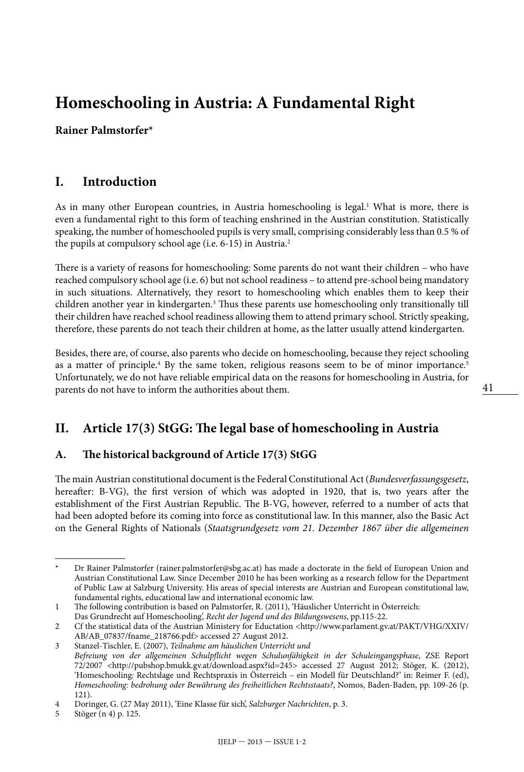# **Homeschooling in Austria: A Fundamental Right**

**Rainer Palmstorfer\***

### **I. Introduction**

As in many other European countries, in Austria homeschooling is legal.<sup>1</sup> What is more, there is even a fundamental right to this form of teaching enshrined in the Austrian constitution. Statistically speaking, the number of homeschooled pupils is very small, comprising considerably less than 0.5 % of the pupils at compulsory school age (i.e. 6-15) in Austria.2

There is a variety of reasons for homeschooling: Some parents do not want their children – who have reached compulsory school age (i.e. 6) but not school readiness – to attend pre-school being mandatory in such situations. Alternatively, they resort to homeschooling which enables them to keep their children another year in kindergarten.<sup>3</sup> Thus these parents use homeschooling only transitionally till their children have reached school readiness allowing them to attend primary school. Strictly speaking, therefore, these parents do not teach their children at home, as the latter usually attend kindergarten.

Besides, there are, of course, also parents who decide on homeschooling, because they reject schooling as a matter of principle.<sup>4</sup> By the same token, religious reasons seem to be of minor importance.<sup>5</sup> Unfortunately, we do not have reliable empirical data on the reasons for homeschooling in Austria, for parents do not have to inform the authorities about them.

## **II. Article 17(3) StGG: The legal base of homeschooling in Austria**

#### **A. The historical background of Article 17(3) StGG**

The main Austrian constitutional document is the Federal Constitutional Act (*Bundesverfassungsgesetz*, hereafter: B-VG), the first version of which was adopted in 1920, that is, two years after the establishment of the First Austrian Republic. The B-VG, however, referred to a number of acts that had been adopted before its coming into force as constitutional law. In this manner, also the Basic Act on the General Rights of Nationals (*Staatsgrundgesetz vom 21. Dezember 1867 über die allgemeinen* 

<sup>\*</sup> Dr Rainer Palmstorfer ([rainer.palmstorfer@sbg.ac.at](mailto:rainer.palmstorfer@sbg.ac.at)) has made a doctorate in the field of European Union and Austrian Constitutional Law. Since December 2010 he has been working as a research fellow for the Department of Public Law at Salzburg University. His areas of special interests are Austrian and European constitutional law, fundamental rights, educational law and international economic law.

<sup>1</sup> The following contribution is based on Palmstorfer, R. (2011), 'Häuslicher Unterricht in Österreich:

Das Grundrecht auf Homeschooling', *Recht der Jugend und des Bildungswesens*, pp.115-22.

<sup>2</sup> Cf the statistical data of the Austrian Ministery for Eductation <[http://www.parlament.gv.at/PAKT/VHG/XXIV/](http://www.parlament.gv.at/PAKT/VHG/XXIV/AB/AB_07837/fname_218766.pdf) [AB/AB\\_07837/fname\\_218766.pdf>](http://www.parlament.gv.at/PAKT/VHG/XXIV/AB/AB_07837/fname_218766.pdf) accessed 27 August 2012.

<sup>3</sup> Stanzel-Tischler, E. (2007), *Teilnahme am häuslichen Unterricht und Befreiung von der allgemeinen Schulpflicht wegen Schulunfähigkeit in der Schuleingangsphase*, ZSE Report 72/2007 [<http://pubshop.bmukk.gv.at/download.aspx?id=245>](http://pubshop.bmukk.gv.at/download.aspx?id=245) accessed 27 August 2012; Stöger, K. (2012), 'Homeschooling: Rechtslage und Rechtspraxis in Österreich – ein Modell für Deutschland?' in: Reimer F. (ed), *Homeschooling: bedrohung oder Bewährung des freiheitlichen Rechtsstaats?*, Nomos, Baden-Baden, pp. 109-26 (p. 121).

<sup>4</sup> Doringer, G. (27 May 2011), 'Eine Klasse für sich', *Salzburger Nachrichten*, p. 3.

<sup>5</sup> Stöger (n 4) p. 125.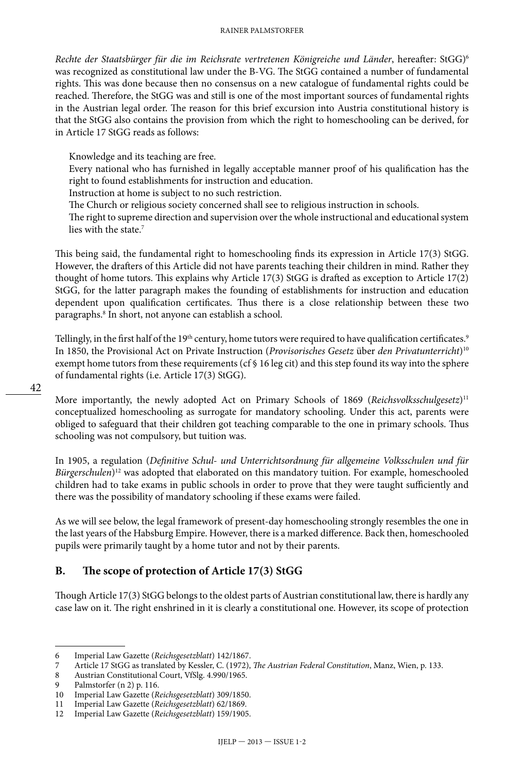*Rechte der Staatsbürger für die im Reichsrate vertretenen Königreiche und Länder*, hereafter: StGG)6 was recognized as constitutional law under the B-VG. The StGG contained a number of fundamental rights. This was done because then no consensus on a new catalogue of fundamental rights could be reached. Therefore, the StGG was and still is one of the most important sources of fundamental rights in the Austrian legal order. The reason for this brief excursion into Austria constitutional history is that the StGG also contains the provision from which the right to homeschooling can be derived, for in Article 17 StGG reads as follows:

Knowledge and its teaching are free.

Every national who has furnished in legally acceptable manner proof of his qualification has the right to found establishments for instruction and education.

Instruction at home is subject to no such restriction.

The Church or religious society concerned shall see to religious instruction in schools.

The right to supreme direction and supervision over the whole instructional and educational system lies with the state.<sup>7</sup>

This being said, the fundamental right to homeschooling finds its expression in Article 17(3) StGG. However, the drafters of this Article did not have parents teaching their children in mind. Rather they thought of home tutors. This explains why Article 17(3) StGG is drafted as exception to Article 17(2) StGG, for the latter paragraph makes the founding of establishments for instruction and education dependent upon qualification certificates. Thus there is a close relationship between these two paragraphs.8 In short, not anyone can establish a school.

Tellingly, in the first half of the 19<sup>th</sup> century, home tutors were required to have qualification certificates.<sup>9</sup> In 1850, the Provisional Act on Private Instruction (*Provisorisches Gesetz* über *den Privatunterricht*)10 exempt home tutors from these requirements (cf § 16 leg cit) and this step found its way into the sphere of fundamental rights (i.e. Article 17(3) StGG).

More importantly, the newly adopted Act on Primary Schools of 1869 (*Reichsvolksschulgesetz*)11 conceptualized homeschooling as surrogate for mandatory schooling. Under this act, parents were obliged to safeguard that their children got teaching comparable to the one in primary schools. Thus schooling was not compulsory, but tuition was.

In 1905, a regulation (*Definitive Schul- und Unterrichtsordnung für allgemeine Volksschulen und für Bürgerschulen*)<sup>12</sup> was adopted that elaborated on this mandatory tuition. For example, homeschooled children had to take exams in public schools in order to prove that they were taught sufficiently and there was the possibility of mandatory schooling if these exams were failed.

As we will see below, the legal framework of present-day homeschooling strongly resembles the one in the last years of the Habsburg Empire. However, there is a marked difference. Back then, homeschooled pupils were primarily taught by a home tutor and not by their parents.

#### **B. The scope of protection of Article 17(3) StGG**

Though Article 17(3) StGG belongs to the oldest parts of Austrian constitutional law, there is hardly any case law on it. The right enshrined in it is clearly a constitutional one. However, its scope of protection

<sup>6</sup> Imperial Law Gazette (*Reichsgesetzblatt*) 142/1867.

<sup>7</sup> Article 17 StGG as translated by Kessler, C. (1972), *The Austrian Federal Constitution*, Manz, Wien, p. 133.

<sup>8</sup> Austrian Constitutional Court, VfSlg. 4.990/1965.<br>9 Palmstorfer (n 2) p. 116.

<sup>9</sup> Palmstorfer (n 2) p. 116.<br>10 Imperial Law Gazette (R

<sup>10</sup> Imperial Law Gazette (*Reichsgesetzblatt*) 309/1850.

<sup>11</sup> Imperial Law Gazette (*Reichsgesetzblatt*) 62/1869.

<sup>12</sup> Imperial Law Gazette (*Reichsgesetzblatt*) 159/1905.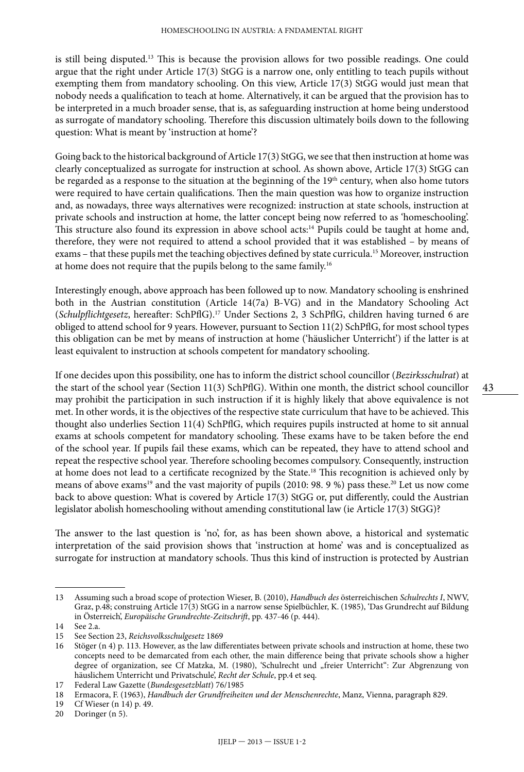is still being disputed.<sup>13</sup> This is because the provision allows for two possible readings. One could argue that the right under Article 17(3) StGG is a narrow one, only entitling to teach pupils without exempting them from mandatory schooling. On this view, Article 17(3) StGG would just mean that nobody needs a qualification to teach at home. Alternatively, it can be argued that the provision has to be interpreted in a much broader sense, that is, as safeguarding instruction at home being understood as surrogate of mandatory schooling. Therefore this discussion ultimately boils down to the following question: What is meant by 'instruction at home'?

Going back to the historical background of Article 17(3) StGG, we see that then instruction at home was clearly conceptualized as surrogate for instruction at school. As shown above, Article 17(3) StGG can be regarded as a response to the situation at the beginning of the 19<sup>th</sup> century, when also home tutors were required to have certain qualifications. Then the main question was how to organize instruction and, as nowadays, three ways alternatives were recognized: instruction at state schools, instruction at private schools and instruction at home, the latter concept being now referred to as 'homeschooling'. This structure also found its expression in above school acts:<sup>14</sup> Pupils could be taught at home and, therefore, they were not required to attend a school provided that it was established – by means of exams – that these pupils met the teaching objectives defined by state curricula.15 Moreover, instruction at home does not require that the pupils belong to the same family.16

Interestingly enough, above approach has been followed up to now. Mandatory schooling is enshrined both in the Austrian constitution (Article 14(7a) B-VG) and in the Mandatory Schooling Act (*Schulpflichtgesetz*, hereafter: SchPflG).17 Under Sections 2, 3 SchPflG, children having turned 6 are obliged to attend school for 9 years. However, pursuant to Section 11(2) SchPflG, for most school types this obligation can be met by means of instruction at home ('häuslicher Unterricht') if the latter is at least equivalent to instruction at schools competent for mandatory schooling.

If one decides upon this possibility, one has to inform the district school councillor (*Bezirksschulrat*) at the start of the school year (Section 11(3) SchPflG). Within one month, the district school councillor may prohibit the participation in such instruction if it is highly likely that above equivalence is not met. In other words, it is the objectives of the respective state curriculum that have to be achieved. This thought also underlies Section 11(4) SchPflG, which requires pupils instructed at home to sit annual exams at schools competent for mandatory schooling. These exams have to be taken before the end of the school year. If pupils fail these exams, which can be repeated, they have to attend school and repeat the respective school year. Therefore schooling becomes compulsory. Consequently, instruction at home does not lead to a certificate recognized by the State.18 This recognition is achieved only by means of above exams<sup>19</sup> and the vast majority of pupils (2010: 98. 9 %) pass these.<sup>20</sup> Let us now come back to above question: What is covered by Article 17(3) StGG or, put differently, could the Austrian legislator abolish homeschooling without amending constitutional law (ie Article 17(3) StGG)?

The answer to the last question is 'no', for, as has been shown above, a historical and systematic interpretation of the said provision shows that 'instruction at home' was and is conceptualized as surrogate for instruction at mandatory schools. Thus this kind of instruction is protected by Austrian

<sup>13</sup> Assuming such a broad scope of protection Wieser, B. (2010), *Handbuch des* österreichischen *Schulrechts I*, NWV, Graz, p.48; construing Article 17(3) StGG in a narrow sense Spielbüchler, K. (1985), 'Das Grundrecht auf Bildung in Österreich', *Europäische Grundrechte-Zeitschrift*, pp. 437-46 (p. 444).

<sup>14</sup> See 2.a.

<sup>15</sup> See Section 23, *Reichsvolksschulgesetz* 1869

<sup>16</sup> Stöger (n 4) p. 113. However, as the law differentiates between private schools and instruction at home, these two concepts need to be demarcated from each other, the main difference being that private schools show a higher degree of organization, see Cf Matzka, M. (1980), 'Schulrecht und "freier Unterricht": Zur Abgrenzung von häuslichem Unterricht und Privatschule', *Recht der Schule*, pp.4 et seq.

<sup>17</sup> Federal Law Gazette (*Bundesgesetzblatt*) 76/1985

<sup>18</sup> Ermacora, F. (1963), *Handbuch der Grundfreiheiten und der Menschenrechte*, Manz, Vienna, paragraph 829.

<sup>19</sup> Cf Wieser (n 14) p. 49.

<sup>20</sup> Doringer (n 5).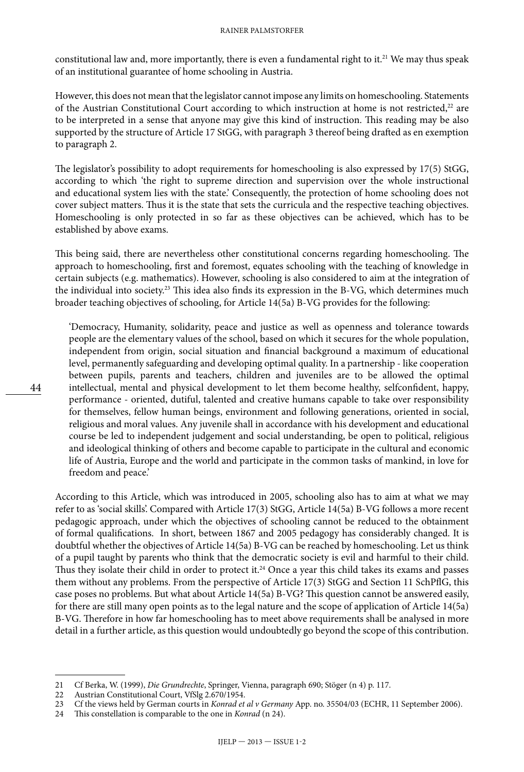#### RAINER PALMSTORFER

constitutional law and, more importantly, there is even a fundamental right to it.<sup>21</sup> We may thus speak of an institutional guarantee of home schooling in Austria.

However, this does not mean that the legislator cannot impose any limits on homeschooling. Statements of the Austrian Constitutional Court according to which instruction at home is not restricted, $22$  are to be interpreted in a sense that anyone may give this kind of instruction. This reading may be also supported by the structure of Article 17 StGG, with paragraph 3 thereof being drafted as en exemption to paragraph 2.

The legislator's possibility to adopt requirements for homeschooling is also expressed by 17(5) StGG, according to which 'the right to supreme direction and supervision over the whole instructional and educational system lies with the state.' Consequently, the protection of home schooling does not cover subject matters. Thus it is the state that sets the curricula and the respective teaching objectives. Homeschooling is only protected in so far as these objectives can be achieved, which has to be established by above exams.

This being said, there are nevertheless other constitutional concerns regarding homeschooling. The approach to homeschooling, first and foremost, equates schooling with the teaching of knowledge in certain subjects (e.g. mathematics). However, schooling is also considered to aim at the integration of the individual into society.<sup>23</sup> This idea also finds its expression in the B-VG, which determines much broader teaching objectives of schooling, for Article 14(5a) B-VG provides for the following:

'Democracy, Humanity, solidarity, peace and justice as well as openness and tolerance towards people are the elementary values of the school, based on which it secures for the whole population, independent from origin, social situation and financial background a maximum of educational level, permanently safeguarding and developing optimal quality. In a partnership - like cooperation between pupils, parents and teachers, children and juveniles are to be allowed the optimal intellectual, mental and physical development to let them become healthy, selfconfident, happy, performance - oriented, dutiful, talented and creative humans capable to take over responsibility for themselves, fellow human beings, environment and following generations, oriented in social, religious and moral values. Any juvenile shall in accordance with his development and educational course be led to independent judgement and social understanding, be open to political, religious and ideological thinking of others and become capable to participate in the cultural and economic life of Austria, Europe and the world and participate in the common tasks of mankind, in love for freedom and peace.'

According to this Article, which was introduced in 2005, schooling also has to aim at what we may refer to as 'social skills'. Compared with Article 17(3) StGG, Article 14(5a) B-VG follows a more recent pedagogic approach, under which the objectives of schooling cannot be reduced to the obtainment of formal qualifications. In short, between 1867 and 2005 pedagogy has considerably changed. It is doubtful whether the objectives of Article 14(5a) B-VG can be reached by homeschooling. Let us think of a pupil taught by parents who think that the democratic society is evil and harmful to their child. Thus they isolate their child in order to protect it.<sup>24</sup> Once a year this child takes its exams and passes them without any problems. From the perspective of Article 17(3) StGG and Section 11 SchPflG, this case poses no problems. But what about Article 14(5a) B-VG? This question cannot be answered easily, for there are still many open points as to the legal nature and the scope of application of Article 14(5a) B-VG. Therefore in how far homeschooling has to meet above requirements shall be analysed in more detail in a further article, as this question would undoubtedly go beyond the scope of this contribution.

<sup>21</sup> Cf Berka, W. (1999), *Die Grundrechte*, Springer, Vienna, paragraph 690; Stöger (n 4) p. 117.

<sup>22</sup> Austrian Constitutional Court, VfSlg 2.670/1954.

<sup>23</sup> Cf the views held by German courts in *Konrad et al v Germany* App. no. 35504/03 (ECHR, 11 September 2006).

<sup>24</sup> This constellation is comparable to the one in *Konrad* (n 24).